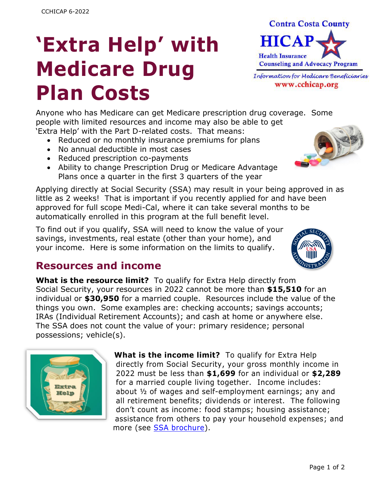# **'Extra Help' with Medicare Drug Plan Costs**



www.cchicap.org

Anyone who has Medicare can get Medicare prescription drug coverage. Some people with limited resources and income may also be able to get 'Extra Help' with the Part D-related costs. That means:

- Reduced or no monthly insurance premiums for plans
- No annual deductible in most cases
- Reduced prescription co-payments
- Ability to change Prescription Drug or Medicare Advantage Plans once a quarter in the first 3 quarters of the year

Applying directly at Social Security (SSA) may result in your being approved in as little as 2 weeks! That is important if you recently applied for and have been approved for full scope Medi-Cal, where it can take several months to be automatically enrolled in this program at the full benefit level.

To find out if you qualify, SSA will need to know the value of your savings, investments, real estate (other than your home), and your income. Here is some information on the limits to qualify.



#### **Resources and income**

**What is the resource limit?** To qualify for Extra Help directly from Social Security, your resources in 2022 cannot be more than **\$15,510** for an individual or **\$30,950** for a married couple. Resources include the value of the things you own. Some examples are: checking accounts; savings accounts; IRAs (Individual Retirement Accounts); and cash at home or anywhere else. The SSA does not count the value of your: primary residence; personal possessions; vehicle(s).



**What is the income limit?** To qualify for Extra Help directly from Social Security, your gross monthly income in 2022 must be less than **\$1,699** for an individual or **\$2,289** for a married couple living together. Income includes: about ½ of wages and self-employment earnings; any and all retirement benefits; dividends or interest. The following don't count as income: food stamps; housing assistance; assistance from others to pay your household expenses; and more (see SSA [brochure\)](https://www.ssa.gov/pubs/EN-05-10508.pdf).